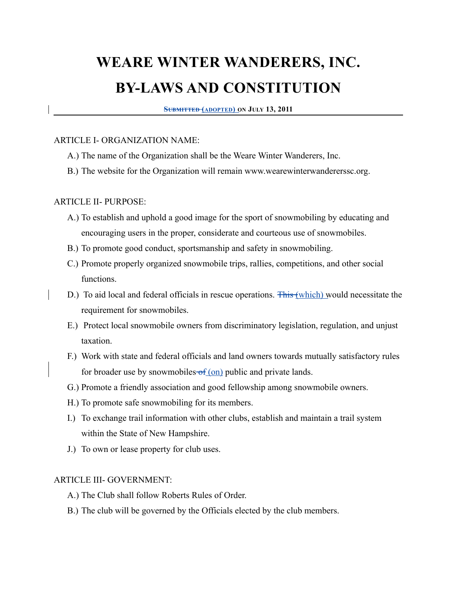# **WEARE WINTER WANDERERS, INC. BY-LAWS AND CONSTITUTION**

 **SUBMITTED (ADOPTED) ON JULY 13, 2011**

#### ARTICLE I- ORGANIZATION NAME:

- A.) The name of the Organization shall be the Weare Winter Wanderers, Inc.
- B.) The website for the Organization will remain www.wearewinterwandererssc.org.

#### ARTICLE II- PURPOSE:

- A.) To establish and uphold a good image for the sport of snowmobiling by educating and encouraging users in the proper, considerate and courteous use of snowmobiles.
- B.) To promote good conduct, sportsmanship and safety in snowmobiling.
- C.) Promote properly organized snowmobile trips, rallies, competitions, and other social functions.
- D.) To aid local and federal officials in rescue operations. **This (which)** would necessitate the requirement for snowmobiles.
- E.) Protect local snowmobile owners from discriminatory legislation, regulation, and unjust taxation.
- F.) Work with state and federal officials and land owners towards mutually satisfactory rules for broader use by snowmobiles  $of (on)$  public and private lands.
- G.) Promote a friendly association and good fellowship among snowmobile owners.
- H.) To promote safe snowmobiling for its members.
- I.) To exchange trail information with other clubs, establish and maintain a trail system within the State of New Hampshire.
- J.) To own or lease property for club uses.

#### ARTICLE III- GOVERNMENT:

- A.) The Club shall follow Roberts Rules of Order.
- B.) The club will be governed by the Officials elected by the club members.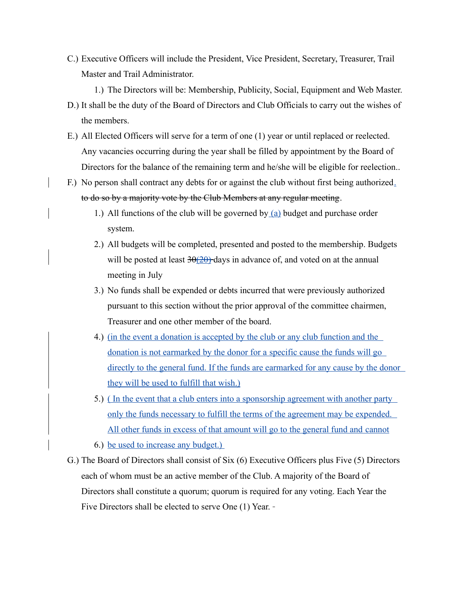C.) Executive Officers will include the President, Vice President, Secretary, Treasurer, Trail Master and Trail Administrator.

1.) The Directors will be: Membership, Publicity, Social, Equipment and Web Master.

- D.) It shall be the duty of the Board of Directors and Club Officials to carry out the wishes of the members.
- E.) All Elected Officers will serve for a term of one (1) year or until replaced or reelected. Any vacancies occurring during the year shall be filled by appointment by the Board of Directors for the balance of the remaining term and he/she will be eligible for reelection..
- F.) No person shall contract any debts for or against the club without first being authorized. to do so by a majority vote by the Club Members at any regular meeting.
	- 1.) All functions of the club will be governed by  $(a)$  budget and purchase order system.
	- 2.) All budgets will be completed, presented and posted to the membership. Budgets will be posted at least  $30(20)$  days in advance of, and voted on at the annual meeting in July
	- 3.) No funds shall be expended or debts incurred that were previously authorized pursuant to this section without the prior approval of the committee chairmen, Treasurer and one other member of the board.
	- 4.) (in the event a donation is accepted by the club or any club function and the donation is not earmarked by the donor for a specific cause the funds will go directly to the general fund. If the funds are earmarked for any cause by the donor they will be used to fulfill that wish.)
	- 5.) ( In the event that a club enters into a sponsorship agreement with another party only the funds necessary to fulfill the terms of the agreement may be expended. All other funds in excess of that amount will go to the general fund and cannot

6.) be used to increase any budget.)

G.) The Board of Directors shall consist of Six (6) Executive Officers plus Five (5) Directors each of whom must be an active member of the Club. A majority of the Board of Directors shall constitute a quorum; quorum is required for any voting. Each Year the Five Directors shall be elected to serve One (1) Year.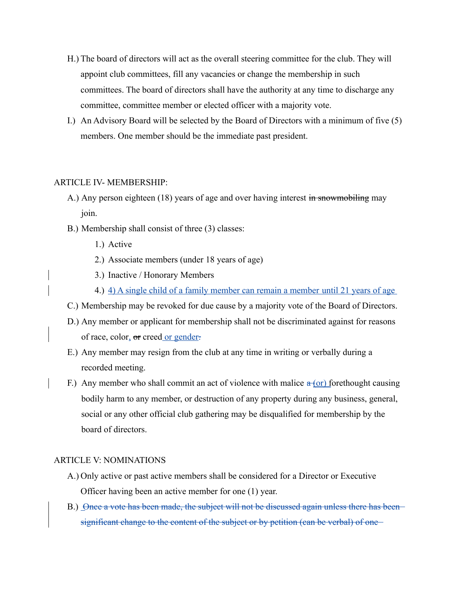- H.) The board of directors will act as the overall steering committee for the club. They will appoint club committees, fill any vacancies or change the membership in such committees. The board of directors shall have the authority at any time to discharge any committee, committee member or elected officer with a majority vote.
- I.) An Advisory Board will be selected by the Board of Directors with a minimum of five (5) members. One member should be the immediate past president.

#### ARTICLE IV- MEMBERSHIP:

- A.) Any person eighteen (18) years of age and over having interest in snowmobiling may join.
- B.) Membership shall consist of three (3) classes:
	- 1.) Active
	- 2.) Associate members (under 18 years of age)
	- 3.) Inactive / Honorary Members
	- 4.) 4) A single child of a family member can remain a member until 21 years of age
- C.) Membership may be revoked for due cause by a majority vote of the Board of Directors.
- D.) Any member or applicant for membership shall not be discriminated against for reasons of race, color, or creed or gender.
- E.) Any member may resign from the club at any time in writing or verbally during a recorded meeting.
- F.) Any member who shall commit an act of violence with malice  $\alpha$  (or) forethought causing bodily harm to any member, or destruction of any property during any business, general, social or any other official club gathering may be disqualified for membership by the board of directors.

#### ARTICLE V: NOMINATIONS

- A.) Only active or past active members shall be considered for a Director or Executive Officer having been an active member for one (1) year.
- B.) Once a vote has been made, the subject will not be discussed again unless there has beensignificant change to the content of the subject or by petition (can be verbal) of one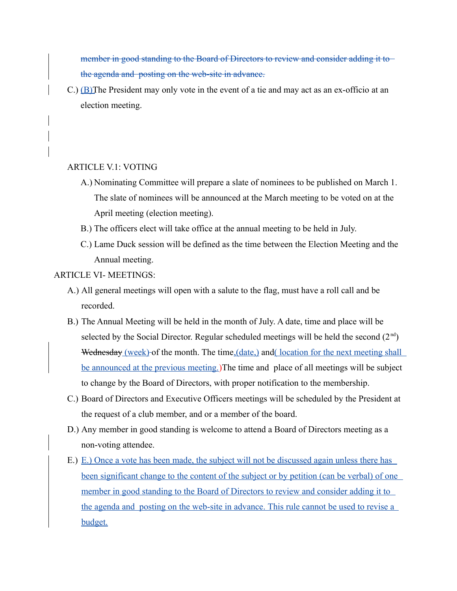member in good standing to the Board of Directors to review and consider adding it to the agenda and posting on the web-site in advance.

C.) (B)The President may only vote in the event of a tie and may act as an ex-officio at an election meeting.

#### ARTICLE V.1: VOTING

- A.) Nominating Committee will prepare a slate of nominees to be published on March 1. The slate of nominees will be announced at the March meeting to be voted on at the April meeting (election meeting).
- B.) The officers elect will take office at the annual meeting to be held in July.
- C.) Lame Duck session will be defined as the time between the Election Meeting and the Annual meeting.

#### ARTICLE VI- MEETINGS:

- A.) All general meetings will open with a salute to the flag, must have a roll call and be recorded.
- B.) The Annual Meeting will be held in the month of July. A date, time and place will be selected by the Social Director. Regular scheduled meetings will be held the second  $(2<sup>nd</sup>)$ Wednesday (week) of the month. The time, (date,) and (location for the next meeting shall be announced at the previous meeting.)The time and place of all meetings will be subject to change by the Board of Directors, with proper notification to the membership.
- C.) Board of Directors and Executive Officers meetings will be scheduled by the President at the request of a club member, and or a member of the board.
- D.) Any member in good standing is welcome to attend a Board of Directors meeting as a non-voting attendee.
- E.) E.) Once a vote has been made, the subject will not be discussed again unless there has been significant change to the content of the subject or by petition (can be verbal) of one member in good standing to the Board of Directors to review and consider adding it to the agenda and posting on the web-site in advance. This rule cannot be used to revise a budget.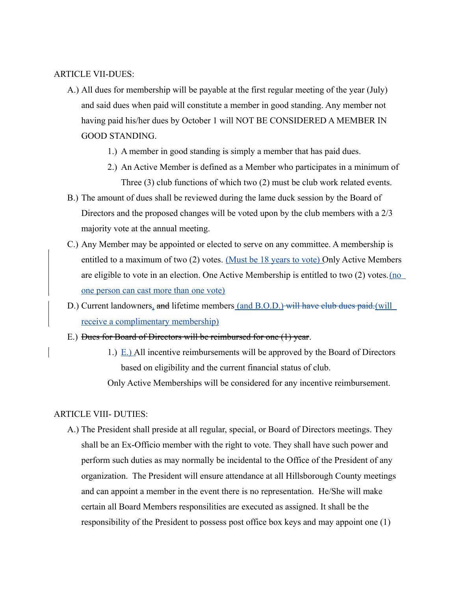#### ARTICLE VII-DUES:

- A.) All dues for membership will be payable at the first regular meeting of the year (July) and said dues when paid will constitute a member in good standing. Any member not having paid his/her dues by October 1 will NOT BE CONSIDERED A MEMBER IN GOOD STANDING.
	- 1.) A member in good standing is simply a member that has paid dues.
	- 2.) An Active Member is defined as a Member who participates in a minimum of Three (3) club functions of which two (2) must be club work related events.
- B.) The amount of dues shall be reviewed during the lame duck session by the Board of Directors and the proposed changes will be voted upon by the club members with a 2/3 majority vote at the annual meeting.
- C.) Any Member may be appointed or elected to serve on any committee. A membership is entitled to a maximum of two (2) votes. (Must be 18 years to vote) Only Active Members are eligible to vote in an election. One Active Membership is entitled to two (2) votes.(no one person can cast more than one vote)
- D.) Current landowners, and lifetime members (and B.O.D.) will have club dues paid. (will receive a complimentary membership)
- E.) Dues for Board of Directors will be reimbursed for one (1) year.
	- 1.)  $E<sub>1</sub>$ ) All incentive reimbursements will be approved by the Board of Directors based on eligibility and the current financial status of club.

Only Active Memberships will be considered for any incentive reimbursement.

#### ARTICLE VIII- DUTIES:

A.) The President shall preside at all regular, special, or Board of Directors meetings. They shall be an Ex-Officio member with the right to vote. They shall have such power and perform such duties as may normally be incidental to the Office of the President of any organization. The President will ensure attendance at all Hillsborough County meetings and can appoint a member in the event there is no representation. He/She will make certain all Board Members responsilities are executed as assigned. It shall be the responsibility of the President to possess post office box keys and may appoint one (1)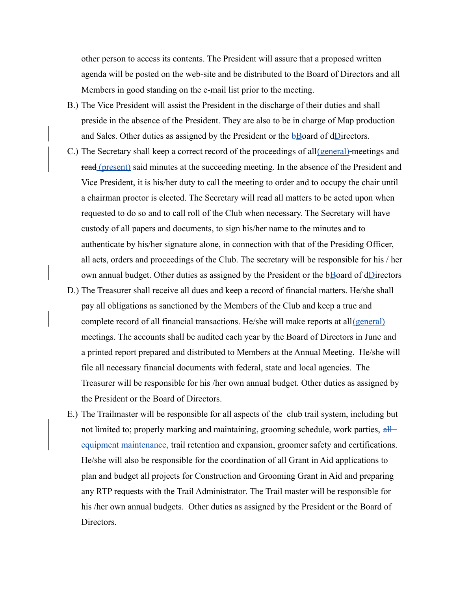other person to access its contents. The President will assure that a proposed written agenda will be posted on the web-site and be distributed to the Board of Directors and all Members in good standing on the e-mail list prior to the meeting.

- B.) The Vice President will assist the President in the discharge of their duties and shall preside in the absence of the President. They are also to be in charge of Map production and Sales. Other duties as assigned by the President or the bBoard of dDirectors.
- C.) The Secretary shall keep a correct record of the proceedings of all (general) meetings and read (present) said minutes at the succeeding meeting. In the absence of the President and Vice President, it is his/her duty to call the meeting to order and to occupy the chair until a chairman proctor is elected. The Secretary will read all matters to be acted upon when requested to do so and to call roll of the Club when necessary. The Secretary will have custody of all papers and documents, to sign his/her name to the minutes and to authenticate by his/her signature alone, in connection with that of the Presiding Officer, all acts, orders and proceedings of the Club. The secretary will be responsible for his / her own annual budget. Other duties as assigned by the President or the bBoard of dDirectors
- D.) The Treasurer shall receive all dues and keep a record of financial matters. He/she shall pay all obligations as sanctioned by the Members of the Club and keep a true and complete record of all financial transactions. He/she will make reports at all(general) meetings. The accounts shall be audited each year by the Board of Directors in June and a printed report prepared and distributed to Members at the Annual Meeting. He/she will file all necessary financial documents with federal, state and local agencies. The Treasurer will be responsible for his /her own annual budget. Other duties as assigned by the President or the Board of Directors.
- E.) The Trailmaster will be responsible for all aspects of the club trail system, including but not limited to; properly marking and maintaining, grooming schedule, work parties, allequipment maintenance, trail retention and expansion, groomer safety and certifications. He/she will also be responsible for the coordination of all Grant in Aid applications to plan and budget all projects for Construction and Grooming Grant in Aid and preparing any RTP requests with the Trail Administrator. The Trail master will be responsible for his /her own annual budgets. Other duties as assigned by the President or the Board of Directors.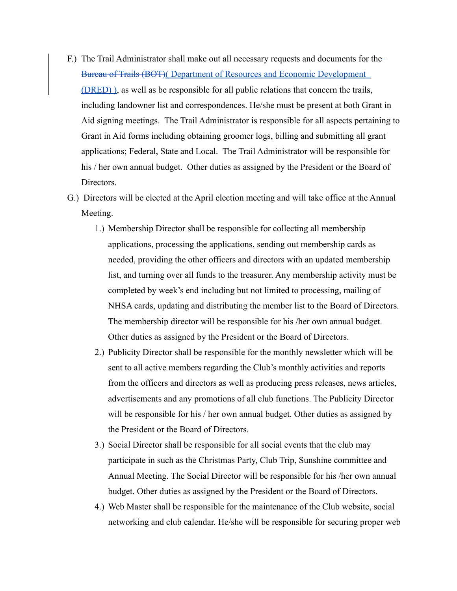- F.) The Trail Administrator shall make out all necessary requests and documents for the Bureau of Trails (BOT)( Department of Resources and Economic Development (DRED) ), as well as be responsible for all public relations that concern the trails, including landowner list and correspondences. He/she must be present at both Grant in Aid signing meetings. The Trail Administrator is responsible for all aspects pertaining to Grant in Aid forms including obtaining groomer logs, billing and submitting all grant applications; Federal, State and Local. The Trail Administrator will be responsible for his / her own annual budget. Other duties as assigned by the President or the Board of Directors.
- G.) Directors will be elected at the April election meeting and will take office at the Annual Meeting.
	- 1.) Membership Director shall be responsible for collecting all membership applications, processing the applications, sending out membership cards as needed, providing the other officers and directors with an updated membership list, and turning over all funds to the treasurer. Any membership activity must be completed by week's end including but not limited to processing, mailing of NHSA cards, updating and distributing the member list to the Board of Directors. The membership director will be responsible for his /her own annual budget. Other duties as assigned by the President or the Board of Directors.
	- 2.) Publicity Director shall be responsible for the monthly newsletter which will be sent to all active members regarding the Club's monthly activities and reports from the officers and directors as well as producing press releases, news articles, advertisements and any promotions of all club functions. The Publicity Director will be responsible for his / her own annual budget. Other duties as assigned by the President or the Board of Directors.
	- 3.) Social Director shall be responsible for all social events that the club may participate in such as the Christmas Party, Club Trip, Sunshine committee and Annual Meeting. The Social Director will be responsible for his /her own annual budget. Other duties as assigned by the President or the Board of Directors.
	- 4.) Web Master shall be responsible for the maintenance of the Club website, social networking and club calendar. He/she will be responsible for securing proper web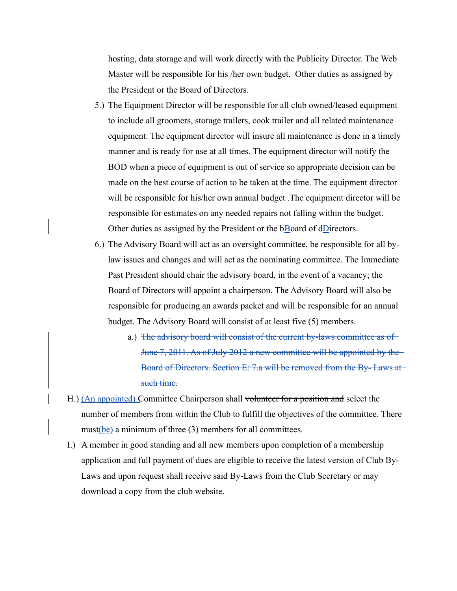hosting, data storage and will work directly with the Publicity Director. The Web Master will be responsible for his /her own budget. Other duties as assigned by the President or the Board of Directors.

- 5.) The Equipment Director will be responsible for all club owned/leased equipment to include all groomers, storage trailers, cook trailer and all related maintenance equipment. The equipment director will insure all maintenance is done in a timely manner and is ready for use at all times. The equipment director will notify the BOD when a piece of equipment is out of service so appropriate decision can be made on the best course of action to be taken at the time. The equipment director will be responsible for his/her own annual budget. The equipment director will be responsible for estimates on any needed repairs not falling within the budget. Other duties as assigned by the President or the  $b$ Board of dDirectors.
- 6.) The Advisory Board will act as an oversight committee, be responsible for all bylaw issues and changes and will act as the nominating committee. The Immediate Past President should chair the advisory board, in the event of a vacancy; the Board of Directors will appoint a chairperson. The Advisory Board will also be responsible for producing an awards packet and will be responsible for an annual budget. The Advisory Board will consist of at least five (5) members.
	- a.) The advisory board will consist of the current by-laws committee as of June 7, 2011. As of July 2012 a new committee will be appointed by the Board of Directors. Section E: 7.a will be removed from the By- Laws at such time.
- H.) (An appointed) Committee Chairperson shall volunteer for a position and select the number of members from within the Club to fulfill the objectives of the committee. There must(be) a minimum of three (3) members for all committees.
- I.) A member in good standing and all new members upon completion of a membership application and full payment of dues are eligible to receive the latest version of Club By-Laws and upon request shall receive said By-Laws from the Club Secretary or may download a copy from the club website.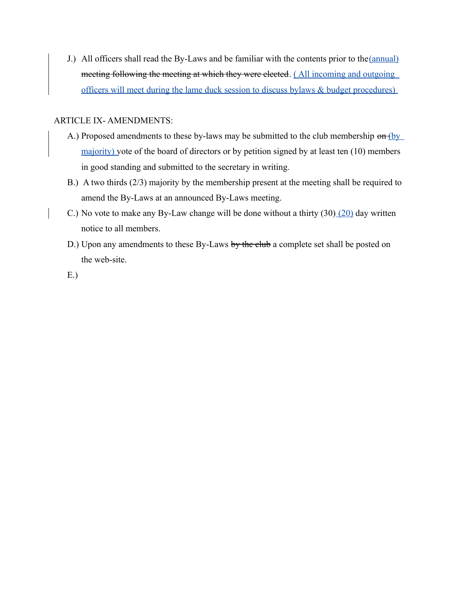J.) All officers shall read the By-Laws and be familiar with the contents prior to the(annual) meeting following the meeting at which they were elected. (All incoming and outgoing officers will meet during the lame duck session to discuss bylaws & budget procedures)

### ARTICLE IX- AMENDMENTS:

- A.) Proposed amendments to these by-laws may be submitted to the club membership on (by majority) vote of the board of directors or by petition signed by at least ten (10) members in good standing and submitted to the secretary in writing.
- B.) A two thirds (2/3) majority by the membership present at the meeting shall be required to amend the By-Laws at an announced By-Laws meeting.
- C.) No vote to make any By-Law change will be done without a thirty (30) (20) day written notice to all members.
- D.) Upon any amendments to these By-Laws by the club a complete set shall be posted on the web-site.

E.)